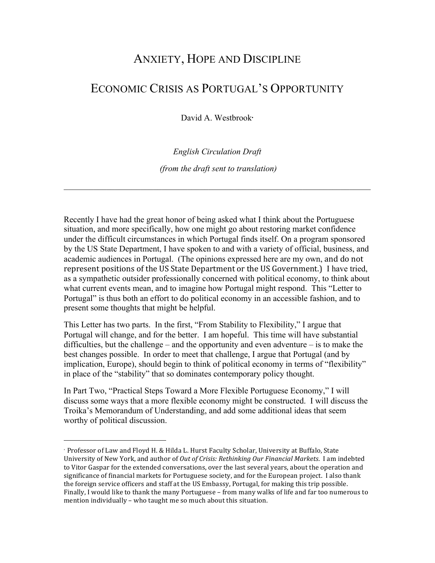## ANXIETY, HOPE AND DISCIPLINE

## ECONOMIC CRISIS AS PORTUGAL'S OPPORTUNITY

David A. Westbrook<sup>∗</sup>

*English Circulation Draft*

*(from the draft sent to translation)*

 $\mathcal{L}_\mathcal{L} = \{ \mathcal{L}_\mathcal{L} = \{ \mathcal{L}_\mathcal{L} = \{ \mathcal{L}_\mathcal{L} = \{ \mathcal{L}_\mathcal{L} = \{ \mathcal{L}_\mathcal{L} = \{ \mathcal{L}_\mathcal{L} = \{ \mathcal{L}_\mathcal{L} = \{ \mathcal{L}_\mathcal{L} = \{ \mathcal{L}_\mathcal{L} = \{ \mathcal{L}_\mathcal{L} = \{ \mathcal{L}_\mathcal{L} = \{ \mathcal{L}_\mathcal{L} = \{ \mathcal{L}_\mathcal{L} = \{ \mathcal{L}_\mathcal{$ 

Recently I have had the great honor of being asked what I think about the Portuguese situation, and more specifically, how one might go about restoring market confidence under the difficult circumstances in which Portugal finds itself. On a program sponsored by the US State Department, I have spoken to and with a variety of official, business, and academic audiences in Portugal. (The opinions expressed here are my own, and do not represent positions of the US State Department or the US Government.) I have tried, as a sympathetic outsider professionally concerned with political economy, to think about what current events mean, and to imagine how Portugal might respond. This "Letter to Portugal" is thus both an effort to do political economy in an accessible fashion, and to present some thoughts that might be helpful.

This Letter has two parts. In the first, "From Stability to Flexibility," I argue that Portugal will change, and for the better. I am hopeful. This time will have substantial difficulties, but the challenge – and the opportunity and even adventure – is to make the best changes possible. In order to meet that challenge, I argue that Portugal (and by implication, Europe), should begin to think of political economy in terms of "flexibility" in place of the "stability" that so dominates contemporary policy thought.

In Part Two, "Practical Steps Toward a More Flexible Portuguese Economy," I will discuss some ways that a more flexible economy might be constructed. I will discuss the Troika's Memorandum of Understanding, and add some additional ideas that seem worthy of political discussion.

 

<sup>∗</sup> Professor of Law and Floyd H. & Hilda L. Hurst Faculty Scholar, University at Buffalo, State University of New York, and author of *Out of Crisis: Rethinking Our Financial Markets*. I am indebted to Vitor Gaspar for the extended conversations, over the last several years, about the operation and significance of financial markets for Portuguese society, and for the European project. I also thank the foreign service officers and staff at the US Embassy, Portugal, for making this trip possible. Finally, I would like to thank the many Portuguese – from many walks of life and far too numerous to mention individually - who taught me so much about this situation.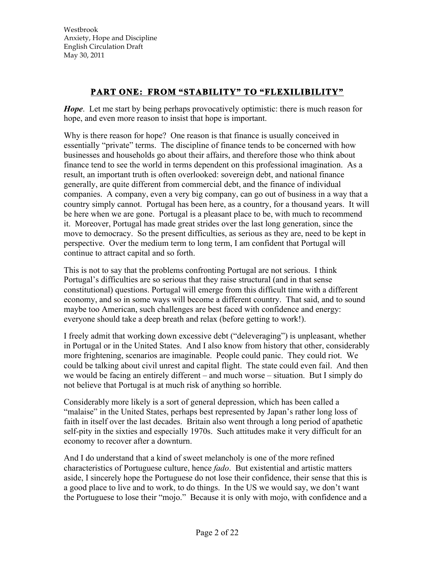## **PART ONE: FROM "STABILITY" TO "FLEXILIBILITY"**

*Hope*. Let me start by being perhaps provocatively optimistic: there is much reason for hope, and even more reason to insist that hope is important.

Why is there reason for hope? One reason is that finance is usually conceived in essentially "private" terms. The discipline of finance tends to be concerned with how businesses and households go about their affairs, and therefore those who think about finance tend to see the world in terms dependent on this professional imagination. As a result, an important truth is often overlooked: sovereign debt, and national finance generally, are quite different from commercial debt, and the finance of individual companies. A company, even a very big company, can go out of business in a way that a country simply cannot. Portugal has been here, as a country, for a thousand years. It will be here when we are gone. Portugal is a pleasant place to be, with much to recommend it. Moreover, Portugal has made great strides over the last long generation, since the move to democracy. So the present difficulties, as serious as they are, need to be kept in perspective. Over the medium term to long term, I am confident that Portugal will continue to attract capital and so forth.

This is not to say that the problems confronting Portugal are not serious. I think Portugal's difficulties are so serious that they raise structural (and in that sense constitutional) questions. Portugal will emerge from this difficult time with a different economy, and so in some ways will become a different country. That said, and to sound maybe too American, such challenges are best faced with confidence and energy: everyone should take a deep breath and relax (before getting to work!).

I freely admit that working down excessive debt ("deleveraging") is unpleasant, whether in Portugal or in the United States. And I also know from history that other, considerably more frightening, scenarios are imaginable. People could panic. They could riot. We could be talking about civil unrest and capital flight. The state could even fail. And then we would be facing an entirely different – and much worse – situation. But I simply do not believe that Portugal is at much risk of anything so horrible.

Considerably more likely is a sort of general depression, which has been called a "malaise" in the United States, perhaps best represented by Japan's rather long loss of faith in itself over the last decades. Britain also went through a long period of apathetic self-pity in the sixties and especially 1970s. Such attitudes make it very difficult for an economy to recover after a downturn.

And I do understand that a kind of sweet melancholy is one of the more refined characteristics of Portuguese culture, hence *fado*. But existential and artistic matters aside, I sincerely hope the Portuguese do not lose their confidence, their sense that this is a good place to live and to work, to do things. In the US we would say, we don't want the Portuguese to lose their "mojo." Because it is only with mojo, with confidence and a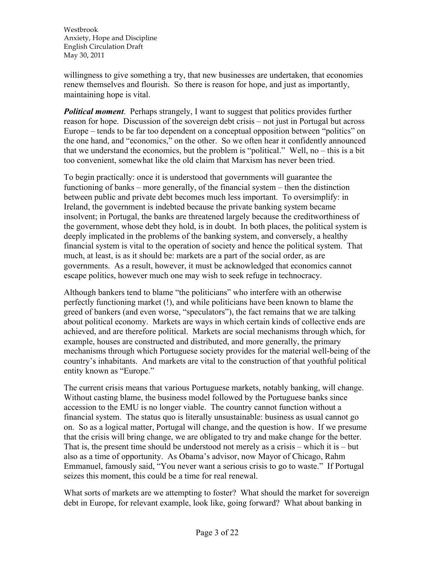willingness to give something a try, that new businesses are undertaken, that economies renew themselves and flourish. So there is reason for hope, and just as importantly, maintaining hope is vital.

*Political moment*. Perhaps strangely, I want to suggest that politics provides further reason for hope. Discussion of the sovereign debt crisis – not just in Portugal but across Europe – tends to be far too dependent on a conceptual opposition between "politics" on the one hand, and "economics," on the other. So we often hear it confidently announced that we understand the economics, but the problem is "political." Well, no – this is a bit too convenient, somewhat like the old claim that Marxism has never been tried.

To begin practically: once it is understood that governments will guarantee the functioning of banks – more generally, of the financial system – then the distinction between public and private debt becomes much less important. To oversimplify: in Ireland, the government is indebted because the private banking system became insolvent; in Portugal, the banks are threatened largely because the creditworthiness of the government, whose debt they hold, is in doubt. In both places, the political system is deeply implicated in the problems of the banking system, and conversely, a healthy financial system is vital to the operation of society and hence the political system. That much, at least, is as it should be: markets are a part of the social order, as are governments. As a result, however, it must be acknowledged that economics cannot escape politics, however much one may wish to seek refuge in technocracy.

Although bankers tend to blame "the politicians" who interfere with an otherwise perfectly functioning market (!), and while politicians have been known to blame the greed of bankers (and even worse, "speculators"), the fact remains that we are talking about political economy. Markets are ways in which certain kinds of collective ends are achieved, and are therefore political. Markets are social mechanisms through which, for example, houses are constructed and distributed, and more generally, the primary mechanisms through which Portuguese society provides for the material well-being of the country's inhabitants. And markets are vital to the construction of that youthful political entity known as "Europe."

The current crisis means that various Portuguese markets, notably banking, will change. Without casting blame, the business model followed by the Portuguese banks since accession to the EMU is no longer viable. The country cannot function without a financial system. The status quo is literally unsustainable: business as usual cannot go on. So as a logical matter, Portugal will change, and the question is how. If we presume that the crisis will bring change, we are obligated to try and make change for the better. That is, the present time should be understood not merely as a crisis – which it is – but also as a time of opportunity. As Obama's advisor, now Mayor of Chicago, Rahm Emmanuel, famously said, "You never want a serious crisis to go to waste." If Portugal seizes this moment, this could be a time for real renewal.

What sorts of markets are we attempting to foster? What should the market for sovereign debt in Europe, for relevant example, look like, going forward? What about banking in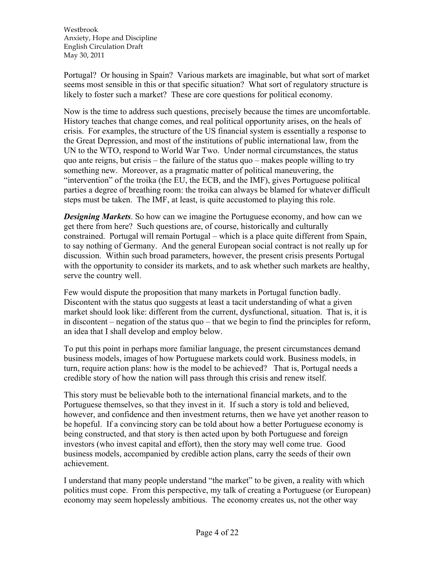Portugal? Or housing in Spain? Various markets are imaginable, but what sort of market seems most sensible in this or that specific situation? What sort of regulatory structure is likely to foster such a market? These are core questions for political economy.

Now is the time to address such questions, precisely because the times are uncomfortable. History teaches that change comes, and real political opportunity arises, on the heals of crisis. For examples, the structure of the US financial system is essentially a response to the Great Depression, and most of the institutions of public international law, from the UN to the WTO, respond to World War Two. Under normal circumstances, the status quo ante reigns, but crisis – the failure of the status quo – makes people willing to try something new. Moreover, as a pragmatic matter of political maneuvering, the "intervention" of the troika (the EU, the ECB, and the IMF), gives Portuguese political parties a degree of breathing room: the troika can always be blamed for whatever difficult steps must be taken. The IMF, at least, is quite accustomed to playing this role.

*Designing Markets*. So how can we imagine the Portuguese economy, and how can we get there from here? Such questions are, of course, historically and culturally constrained. Portugal will remain Portugal – which is a place quite different from Spain, to say nothing of Germany. And the general European social contract is not really up for discussion. Within such broad parameters, however, the present crisis presents Portugal with the opportunity to consider its markets, and to ask whether such markets are healthy, serve the country well.

Few would dispute the proposition that many markets in Portugal function badly. Discontent with the status quo suggests at least a tacit understanding of what a given market should look like: different from the current, dysfunctional, situation. That is, it is in discontent – negation of the status quo – that we begin to find the principles for reform, an idea that I shall develop and employ below.

To put this point in perhaps more familiar language, the present circumstances demand business models, images of how Portuguese markets could work. Business models, in turn, require action plans: how is the model to be achieved? That is, Portugal needs a credible story of how the nation will pass through this crisis and renew itself.

This story must be believable both to the international financial markets, and to the Portuguese themselves, so that they invest in it. If such a story is told and believed, however, and confidence and then investment returns, then we have yet another reason to be hopeful. If a convincing story can be told about how a better Portuguese economy is being constructed, and that story is then acted upon by both Portuguese and foreign investors (who invest capital and effort), then the story may well come true. Good business models, accompanied by credible action plans, carry the seeds of their own achievement.

I understand that many people understand "the market" to be given, a reality with which politics must cope. From this perspective, my talk of creating a Portuguese (or European) economy may seem hopelessly ambitious. The economy creates us, not the other way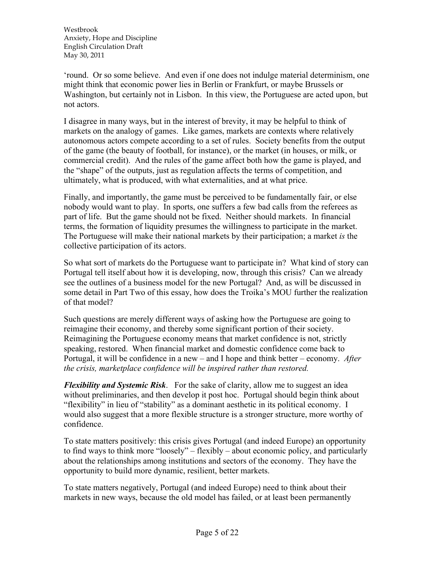'round. Or so some believe. And even if one does not indulge material determinism, one might think that economic power lies in Berlin or Frankfurt, or maybe Brussels or Washington, but certainly not in Lisbon. In this view, the Portuguese are acted upon, but not actors.

I disagree in many ways, but in the interest of brevity, it may be helpful to think of markets on the analogy of games. Like games, markets are contexts where relatively autonomous actors compete according to a set of rules. Society benefits from the output of the game (the beauty of football, for instance), or the market (in houses, or milk, or commercial credit). And the rules of the game affect both how the game is played, and the "shape" of the outputs, just as regulation affects the terms of competition, and ultimately, what is produced, with what externalities, and at what price.

Finally, and importantly, the game must be perceived to be fundamentally fair, or else nobody would want to play. In sports, one suffers a few bad calls from the referees as part of life. But the game should not be fixed. Neither should markets. In financial terms, the formation of liquidity presumes the willingness to participate in the market. The Portuguese will make their national markets by their participation; a market *is* the collective participation of its actors.

So what sort of markets do the Portuguese want to participate in? What kind of story can Portugal tell itself about how it is developing, now, through this crisis? Can we already see the outlines of a business model for the new Portugal? And, as will be discussed in some detail in Part Two of this essay, how does the Troika's MOU further the realization of that model?

Such questions are merely different ways of asking how the Portuguese are going to reimagine their economy, and thereby some significant portion of their society. Reimagining the Portuguese economy means that market confidence is not, strictly speaking, restored. When financial market and domestic confidence come back to Portugal, it will be confidence in a new – and I hope and think better – economy. *After the crisis, marketplace confidence will be inspired rather than restored.*

*Flexibility and Systemic Risk*. For the sake of clarity, allow me to suggest an idea without preliminaries, and then develop it post hoc. Portugal should begin think about "flexibility" in lieu of "stability" as a dominant aesthetic in its political economy. I would also suggest that a more flexible structure is a stronger structure, more worthy of confidence.

To state matters positively: this crisis gives Portugal (and indeed Europe) an opportunity to find ways to think more "loosely" – flexibly – about economic policy, and particularly about the relationships among institutions and sectors of the economy. They have the opportunity to build more dynamic, resilient, better markets.

To state matters negatively, Portugal (and indeed Europe) need to think about their markets in new ways, because the old model has failed, or at least been permanently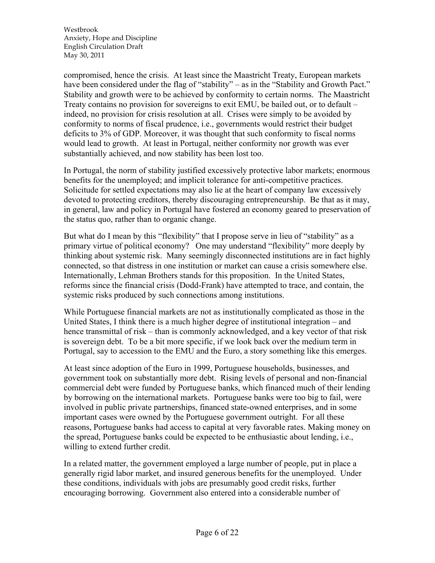compromised, hence the crisis. At least since the Maastricht Treaty, European markets have been considered under the flag of "stability" – as in the "Stability and Growth Pact." Stability and growth were to be achieved by conformity to certain norms. The Maastricht Treaty contains no provision for sovereigns to exit EMU, be bailed out, or to default – indeed, no provision for crisis resolution at all. Crises were simply to be avoided by conformity to norms of fiscal prudence, i.e., governments would restrict their budget deficits to 3% of GDP. Moreover, it was thought that such conformity to fiscal norms would lead to growth. At least in Portugal, neither conformity nor growth was ever substantially achieved, and now stability has been lost too.

In Portugal, the norm of stability justified excessively protective labor markets; enormous benefits for the unemployed; and implicit tolerance for anti-competitive practices. Solicitude for settled expectations may also lie at the heart of company law excessively devoted to protecting creditors, thereby discouraging entrepreneurship. Be that as it may, in general, law and policy in Portugal have fostered an economy geared to preservation of the status quo, rather than to organic change.

But what do I mean by this "flexibility" that I propose serve in lieu of "stability" as a primary virtue of political economy? One may understand "flexibility" more deeply by thinking about systemic risk. Many seemingly disconnected institutions are in fact highly connected, so that distress in one institution or market can cause a crisis somewhere else. Internationally, Lehman Brothers stands for this proposition. In the United States, reforms since the financial crisis (Dodd-Frank) have attempted to trace, and contain, the systemic risks produced by such connections among institutions.

While Portuguese financial markets are not as institutionally complicated as those in the United States, I think there is a much higher degree of institutional integration – and hence transmittal of risk – than is commonly acknowledged, and a key vector of that risk is sovereign debt. To be a bit more specific, if we look back over the medium term in Portugal, say to accession to the EMU and the Euro, a story something like this emerges.

At least since adoption of the Euro in 1999, Portuguese households, businesses, and government took on substantially more debt. Rising levels of personal and non-financial commercial debt were funded by Portuguese banks, which financed much of their lending by borrowing on the international markets. Portuguese banks were too big to fail, were involved in public private partnerships, financed state-owned enterprises, and in some important cases were owned by the Portuguese government outright. For all these reasons, Portuguese banks had access to capital at very favorable rates. Making money on the spread, Portuguese banks could be expected to be enthusiastic about lending, i.e., willing to extend further credit.

In a related matter, the government employed a large number of people, put in place a generally rigid labor market, and insured generous benefits for the unemployed. Under these conditions, individuals with jobs are presumably good credit risks, further encouraging borrowing. Government also entered into a considerable number of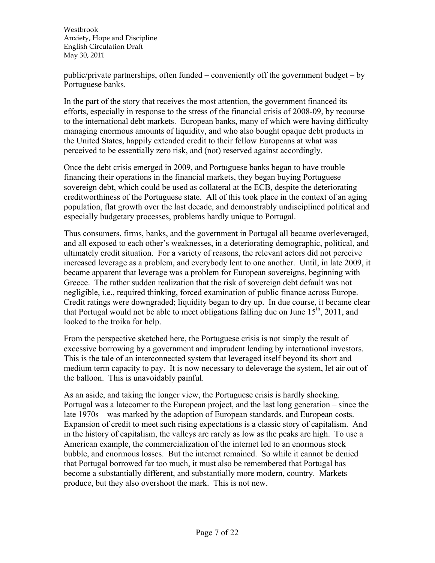public/private partnerships, often funded – conveniently off the government budget – by Portuguese banks.

In the part of the story that receives the most attention, the government financed its efforts, especially in response to the stress of the financial crisis of 2008-09, by recourse to the international debt markets. European banks, many of which were having difficulty managing enormous amounts of liquidity, and who also bought opaque debt products in the United States, happily extended credit to their fellow Europeans at what was perceived to be essentially zero risk, and (not) reserved against accordingly.

Once the debt crisis emerged in 2009, and Portuguese banks began to have trouble financing their operations in the financial markets, they began buying Portuguese sovereign debt, which could be used as collateral at the ECB, despite the deteriorating creditworthiness of the Portuguese state. All of this took place in the context of an aging population, flat growth over the last decade, and demonstrably undisciplined political and especially budgetary processes, problems hardly unique to Portugal.

Thus consumers, firms, banks, and the government in Portugal all became overleveraged, and all exposed to each other's weaknesses, in a deteriorating demographic, political, and ultimately credit situation. For a variety of reasons, the relevant actors did not perceive increased leverage as a problem, and everybody lent to one another. Until, in late 2009, it became apparent that leverage was a problem for European sovereigns, beginning with Greece. The rather sudden realization that the risk of sovereign debt default was not negligible, i.e., required thinking, forced examination of public finance across Europe. Credit ratings were downgraded; liquidity began to dry up. In due course, it became clear that Portugal would not be able to meet obligations falling due on June  $15<sup>th</sup>$ , 2011, and looked to the troika for help.

From the perspective sketched here, the Portuguese crisis is not simply the result of excessive borrowing by a government and imprudent lending by international investors. This is the tale of an interconnected system that leveraged itself beyond its short and medium term capacity to pay. It is now necessary to deleverage the system, let air out of the balloon. This is unavoidably painful.

As an aside, and taking the longer view, the Portuguese crisis is hardly shocking. Portugal was a latecomer to the European project, and the last long generation – since the late 1970s – was marked by the adoption of European standards, and European costs. Expansion of credit to meet such rising expectations is a classic story of capitalism. And in the history of capitalism, the valleys are rarely as low as the peaks are high. To use a American example, the commercialization of the internet led to an enormous stock bubble, and enormous losses. But the internet remained. So while it cannot be denied that Portugal borrowed far too much, it must also be remembered that Portugal has become a substantially different, and substantially more modern, country. Markets produce, but they also overshoot the mark. This is not new.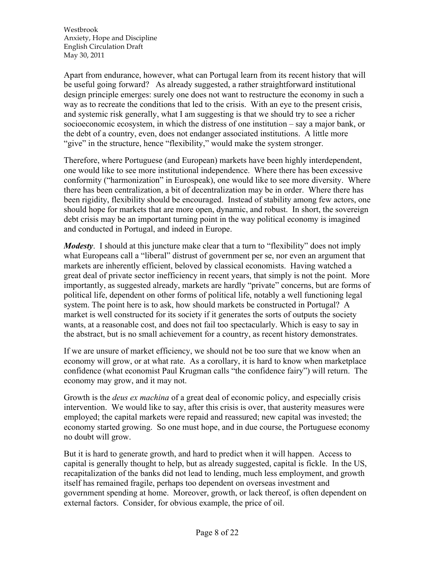Apart from endurance, however, what can Portugal learn from its recent history that will be useful going forward? As already suggested, a rather straightforward institutional design principle emerges: surely one does not want to restructure the economy in such a way as to recreate the conditions that led to the crisis. With an eye to the present crisis, and systemic risk generally, what I am suggesting is that we should try to see a richer socioeconomic ecosystem, in which the distress of one institution – say a major bank, or the debt of a country, even, does not endanger associated institutions. A little more "give" in the structure, hence "flexibility," would make the system stronger.

Therefore, where Portuguese (and European) markets have been highly interdependent, one would like to see more institutional independence. Where there has been excessive conformity ("harmonization" in Eurospeak), one would like to see more diversity. Where there has been centralization, a bit of decentralization may be in order. Where there has been rigidity, flexibility should be encouraged. Instead of stability among few actors, one should hope for markets that are more open, dynamic, and robust. In short, the sovereign debt crisis may be an important turning point in the way political economy is imagined and conducted in Portugal, and indeed in Europe.

*Modesty*. I should at this juncture make clear that a turn to "flexibility" does not imply what Europeans call a "liberal" distrust of government per se, nor even an argument that markets are inherently efficient, beloved by classical economists. Having watched a great deal of private sector inefficiency in recent years, that simply is not the point. More importantly, as suggested already, markets are hardly "private" concerns, but are forms of political life, dependent on other forms of political life, notably a well functioning legal system. The point here is to ask, how should markets be constructed in Portugal? A market is well constructed for its society if it generates the sorts of outputs the society wants, at a reasonable cost, and does not fail too spectacularly. Which is easy to say in the abstract, but is no small achievement for a country, as recent history demonstrates.

If we are unsure of market efficiency, we should not be too sure that we know when an economy will grow, or at what rate. As a corollary, it is hard to know when marketplace confidence (what economist Paul Krugman calls "the confidence fairy") will return. The economy may grow, and it may not.

Growth is the *deus ex machina* of a great deal of economic policy, and especially crisis intervention. We would like to say, after this crisis is over, that austerity measures were employed; the capital markets were repaid and reassured; new capital was invested; the economy started growing. So one must hope, and in due course, the Portuguese economy no doubt will grow.

But it is hard to generate growth, and hard to predict when it will happen. Access to capital is generally thought to help, but as already suggested, capital is fickle. In the US, recapitalization of the banks did not lead to lending, much less employment, and growth itself has remained fragile, perhaps too dependent on overseas investment and government spending at home. Moreover, growth, or lack thereof, is often dependent on external factors. Consider, for obvious example, the price of oil.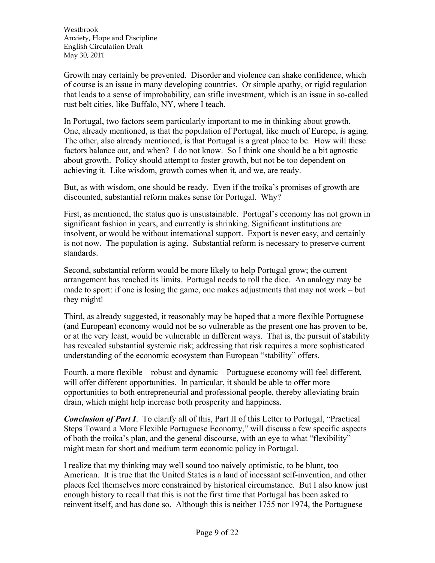Growth may certainly be prevented. Disorder and violence can shake confidence, which of course is an issue in many developing countries. Or simple apathy, or rigid regulation that leads to a sense of improbability, can stifle investment, which is an issue in so-called rust belt cities, like Buffalo, NY, where I teach.

In Portugal, two factors seem particularly important to me in thinking about growth. One, already mentioned, is that the population of Portugal, like much of Europe, is aging. The other, also already mentioned, is that Portugal is a great place to be. How will these factors balance out, and when? I do not know. So I think one should be a bit agnostic about growth. Policy should attempt to foster growth, but not be too dependent on achieving it. Like wisdom, growth comes when it, and we, are ready.

But, as with wisdom, one should be ready. Even if the troika's promises of growth are discounted, substantial reform makes sense for Portugal. Why?

First, as mentioned, the status quo is unsustainable. Portugal's economy has not grown in significant fashion in years, and currently is shrinking. Significant institutions are insolvent, or would be without international support. Export is never easy, and certainly is not now. The population is aging. Substantial reform is necessary to preserve current standards.

Second, substantial reform would be more likely to help Portugal grow; the current arrangement has reached its limits. Portugal needs to roll the dice. An analogy may be made to sport: if one is losing the game, one makes adjustments that may not work – but they might!

Third, as already suggested, it reasonably may be hoped that a more flexible Portuguese (and European) economy would not be so vulnerable as the present one has proven to be, or at the very least, would be vulnerable in different ways. That is, the pursuit of stability has revealed substantial systemic risk; addressing that risk requires a more sophisticated understanding of the economic ecosystem than European "stability" offers.

Fourth, a more flexible – robust and dynamic – Portuguese economy will feel different, will offer different opportunities. In particular, it should be able to offer more opportunities to both entrepreneurial and professional people, thereby alleviating brain drain, which might help increase both prosperity and happiness.

*Conclusion of Part I*. To clarify all of this, Part II of this Letter to Portugal, "Practical Steps Toward a More Flexible Portuguese Economy," will discuss a few specific aspects of both the troika's plan, and the general discourse, with an eye to what "flexibility" might mean for short and medium term economic policy in Portugal.

I realize that my thinking may well sound too naively optimistic, to be blunt, too American. It is true that the United States is a land of incessant self-invention, and other places feel themselves more constrained by historical circumstance. But I also know just enough history to recall that this is not the first time that Portugal has been asked to reinvent itself, and has done so. Although this is neither 1755 nor 1974, the Portuguese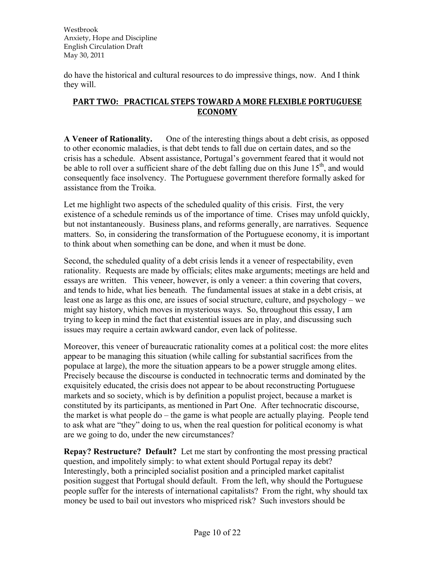do have the historical and cultural resources to do impressive things, now. And I think they will.

## **PART TWO: PRACTICAL STEPS TOWARD A MORE FLEXIBLE PORTUGUESE ECONOMY**

**A Veneer of Rationality.** One of the interesting things about a debt crisis, as opposed to other economic maladies, is that debt tends to fall due on certain dates, and so the crisis has a schedule. Absent assistance, Portugal's government feared that it would not be able to roll over a sufficient share of the debt falling due on this June  $15<sup>th</sup>$ , and would consequently face insolvency. The Portuguese government therefore formally asked for assistance from the Troika.

Let me highlight two aspects of the scheduled quality of this crisis. First, the very existence of a schedule reminds us of the importance of time. Crises may unfold quickly, but not instantaneously. Business plans, and reforms generally, are narratives. Sequence matters. So, in considering the transformation of the Portuguese economy, it is important to think about when something can be done, and when it must be done.

Second, the scheduled quality of a debt crisis lends it a veneer of respectability, even rationality. Requests are made by officials; elites make arguments; meetings are held and essays are written. This veneer, however, is only a veneer: a thin covering that covers, and tends to hide, what lies beneath. The fundamental issues at stake in a debt crisis, at least one as large as this one, are issues of social structure, culture, and psychology – we might say history, which moves in mysterious ways. So, throughout this essay, I am trying to keep in mind the fact that existential issues are in play, and discussing such issues may require a certain awkward candor, even lack of politesse.

Moreover, this veneer of bureaucratic rationality comes at a political cost: the more elites appear to be managing this situation (while calling for substantial sacrifices from the populace at large), the more the situation appears to be a power struggle among elites. Precisely because the discourse is conducted in technocratic terms and dominated by the exquisitely educated, the crisis does not appear to be about reconstructing Portuguese markets and so society, which is by definition a populist project, because a market is constituted by its participants, as mentioned in Part One. After technocratic discourse, the market is what people do – the game is what people are actually playing. People tend to ask what are "they" doing to us, when the real question for political economy is what are we going to do, under the new circumstances?

**Repay? Restructure? Default?** Let me start by confronting the most pressing practical question, and impolitely simply: to what extent should Portugal repay its debt? Interestingly, both a principled socialist position and a principled market capitalist position suggest that Portugal should default. From the left, why should the Portuguese people suffer for the interests of international capitalists? From the right, why should tax money be used to bail out investors who mispriced risk? Such investors should be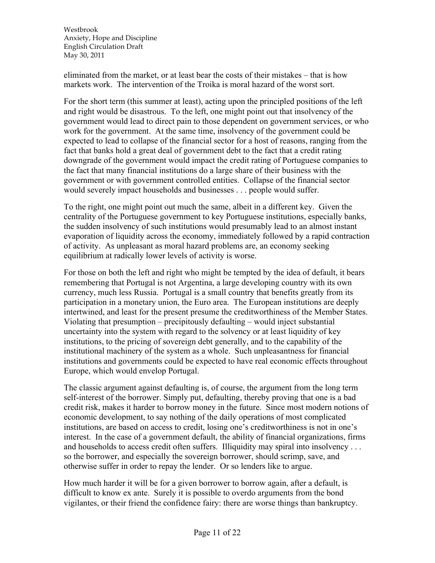eliminated from the market, or at least bear the costs of their mistakes – that is how markets work. The intervention of the Troika is moral hazard of the worst sort.

For the short term (this summer at least), acting upon the principled positions of the left and right would be disastrous. To the left, one might point out that insolvency of the government would lead to direct pain to those dependent on government services, or who work for the government. At the same time, insolvency of the government could be expected to lead to collapse of the financial sector for a host of reasons, ranging from the fact that banks hold a great deal of government debt to the fact that a credit rating downgrade of the government would impact the credit rating of Portuguese companies to the fact that many financial institutions do a large share of their business with the government or with government controlled entities. Collapse of the financial sector would severely impact households and businesses . . . people would suffer.

To the right, one might point out much the same, albeit in a different key. Given the centrality of the Portuguese government to key Portuguese institutions, especially banks, the sudden insolvency of such institutions would presumably lead to an almost instant evaporation of liquidity across the economy, immediately followed by a rapid contraction of activity. As unpleasant as moral hazard problems are, an economy seeking equilibrium at radically lower levels of activity is worse.

For those on both the left and right who might be tempted by the idea of default, it bears remembering that Portugal is not Argentina, a large developing country with its own currency, much less Russia. Portugal is a small country that benefits greatly from its participation in a monetary union, the Euro area. The European institutions are deeply intertwined, and least for the present presume the creditworthiness of the Member States. Violating that presumption – precipitously defaulting – would inject substantial uncertainty into the system with regard to the solvency or at least liquidity of key institutions, to the pricing of sovereign debt generally, and to the capability of the institutional machinery of the system as a whole. Such unpleasantness for financial institutions and governments could be expected to have real economic effects throughout Europe, which would envelop Portugal.

The classic argument against defaulting is, of course, the argument from the long term self-interest of the borrower. Simply put, defaulting, thereby proving that one is a bad credit risk, makes it harder to borrow money in the future. Since most modern notions of economic development, to say nothing of the daily operations of most complicated institutions, are based on access to credit, losing one's creditworthiness is not in one's interest. In the case of a government default, the ability of financial organizations, firms and households to access credit often suffers. Illiquidity may spiral into insolvency . . . so the borrower, and especially the sovereign borrower, should scrimp, save, and otherwise suffer in order to repay the lender. Or so lenders like to argue.

How much harder it will be for a given borrower to borrow again, after a default, is difficult to know ex ante. Surely it is possible to overdo arguments from the bond vigilantes, or their friend the confidence fairy: there are worse things than bankruptcy.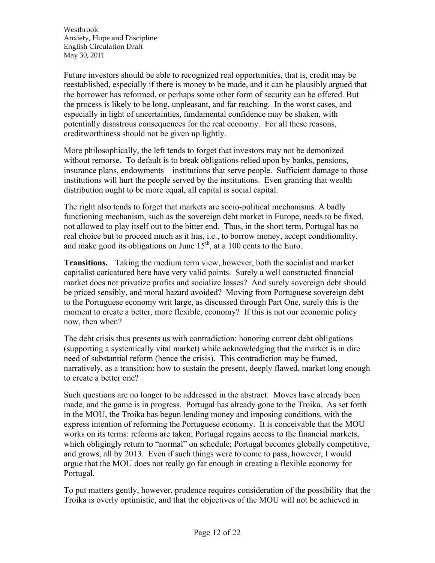Future investors should be able to recognized real opportunities, that is, credit may be reestablished, especially if there is money to be made, and it can be plausibly argued that the borrower has reformed, or perhaps some other form of security can be offered. But the process is likely to be long, unpleasant, and far reaching. In the worst cases, and especially in light of uncertainties, fundamental confidence may be shaken, with potentially disastrous consequences for the real economy. For all these reasons, creditworthiness should not be given up lightly.

More philosophically, the left tends to forget that investors may not be demonized without remorse. To default is to break obligations relied upon by banks, pensions, insurance plans, endowments – institutions that serve people. Sufficient damage to those institutions will hurt the people served by the institutions. Even granting that wealth distribution ought to be more equal, all capital is social capital.

The right also tends to forget that markets are socio-political mechanisms. A badly functioning mechanism, such as the sovereign debt market in Europe, needs to be fixed, not allowed to play itself out to the bitter end. Thus, in the short term, Portugal has no real choice but to proceed much as it has, i.e., to borrow money, accept conditionality, and make good its obligations on June  $15<sup>th</sup>$ , at a 100 cents to the Euro.

**Transitions.** Taking the medium term view, however, both the socialist and market capitalist caricatured here have very valid points. Surely a well constructed financial market does not privatize profits and socialize losses? And surely sovereign debt should be priced sensibly, and moral hazard avoided? Moving from Portuguese sovereign debt to the Portuguese economy writ large, as discussed through Part One, surely this is the moment to create a better, more flexible, economy? If this is not our economic policy now, then when?

The debt crisis thus presents us with contradiction: honoring current debt obligations (supporting a systemically vital market) while acknowledging that the market is in dire need of substantial reform (hence the crisis). This contradiction may be framed, narratively, as a transition: how to sustain the present, deeply flawed, market long enough to create a better one?

Such questions are no longer to be addressed in the abstract. Moves have already been made, and the game is in progress. Portugal has already gone to the Troika. As set forth in the MOU, the Troika has begun lending money and imposing conditions, with the express intention of reforming the Portuguese economy. It is conceivable that the MOU works on its terms: reforms are taken; Portugal regains access to the financial markets, which obligingly return to "normal" on schedule; Portugal becomes globally competitive, and grows, all by 2013. Even if such things were to come to pass, however, I would argue that the MOU does not really go far enough in creating a flexible economy for Portugal.

To put matters gently, however, prudence requires consideration of the possibility that the Troika is overly optimistic, and that the objectives of the MOU will not be achieved in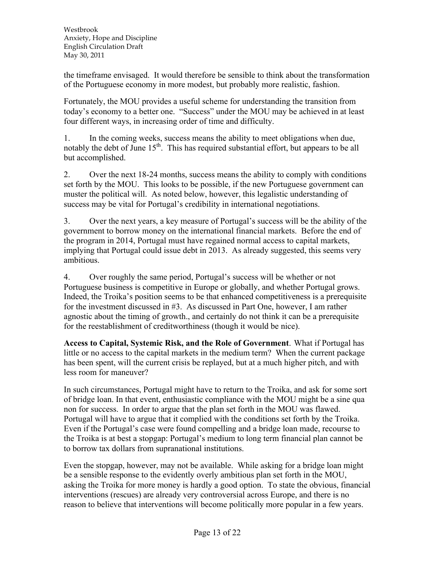the timeframe envisaged. It would therefore be sensible to think about the transformation of the Portuguese economy in more modest, but probably more realistic, fashion.

Fortunately, the MOU provides a useful scheme for understanding the transition from today's economy to a better one. "Success" under the MOU may be achieved in at least four different ways, in increasing order of time and difficulty.

1. In the coming weeks, success means the ability to meet obligations when due, notably the debt of June 15<sup>th</sup>. This has required substantial effort, but appears to be all but accomplished.

2. Over the next 18-24 months, success means the ability to comply with conditions set forth by the MOU. This looks to be possible, if the new Portuguese government can muster the political will. As noted below, however, this legalistic understanding of success may be vital for Portugal's credibility in international negotiations.

3. Over the next years, a key measure of Portugal's success will be the ability of the government to borrow money on the international financial markets. Before the end of the program in 2014, Portugal must have regained normal access to capital markets, implying that Portugal could issue debt in 2013. As already suggested, this seems very ambitious.

4. Over roughly the same period, Portugal's success will be whether or not Portuguese business is competitive in Europe or globally, and whether Portugal grows. Indeed, the Troika's position seems to be that enhanced competitiveness is a prerequisite for the investment discussed in #3. As discussed in Part One, however, I am rather agnostic about the timing of growth., and certainly do not think it can be a prerequisite for the reestablishment of creditworthiness (though it would be nice).

**Access to Capital, Systemic Risk, and the Role of Government**. What if Portugal has little or no access to the capital markets in the medium term? When the current package has been spent, will the current crisis be replayed, but at a much higher pitch, and with less room for maneuver?

In such circumstances, Portugal might have to return to the Troika, and ask for some sort of bridge loan. In that event, enthusiastic compliance with the MOU might be a sine qua non for success. In order to argue that the plan set forth in the MOU was flawed. Portugal will have to argue that it complied with the conditions set forth by the Troika. Even if the Portugal's case were found compelling and a bridge loan made, recourse to the Troika is at best a stopgap: Portugal's medium to long term financial plan cannot be to borrow tax dollars from supranational institutions.

Even the stopgap, however, may not be available. While asking for a bridge loan might be a sensible response to the evidently overly ambitious plan set forth in the MOU, asking the Troika for more money is hardly a good option. To state the obvious, financial interventions (rescues) are already very controversial across Europe, and there is no reason to believe that interventions will become politically more popular in a few years.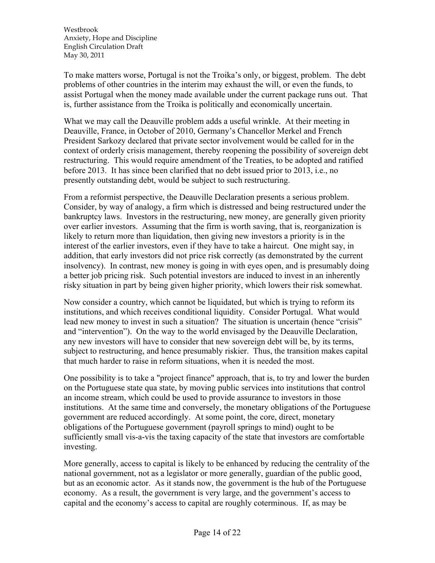To make matters worse, Portugal is not the Troika's only, or biggest, problem. The debt problems of other countries in the interim may exhaust the will, or even the funds, to assist Portugal when the money made available under the current package runs out. That is, further assistance from the Troika is politically and economically uncertain.

What we may call the Deauville problem adds a useful wrinkle. At their meeting in Deauville, France, in October of 2010, Germany's Chancellor Merkel and French President Sarkozy declared that private sector involvement would be called for in the context of orderly crisis management, thereby reopening the possibility of sovereign debt restructuring. This would require amendment of the Treaties, to be adopted and ratified before 2013. It has since been clarified that no debt issued prior to 2013, i.e., no presently outstanding debt, would be subject to such restructuring.

From a reformist perspective, the Deauville Declaration presents a serious problem. Consider, by way of analogy, a firm which is distressed and being restructured under the bankruptcy laws. Investors in the restructuring, new money, are generally given priority over earlier investors. Assuming that the firm is worth saving, that is, reorganization is likely to return more than liquidation, then giving new investors a priority is in the interest of the earlier investors, even if they have to take a haircut. One might say, in addition, that early investors did not price risk correctly (as demonstrated by the current insolvency). In contrast, new money is going in with eyes open, and is presumably doing a better job pricing risk. Such potential investors are induced to invest in an inherently risky situation in part by being given higher priority, which lowers their risk somewhat.

Now consider a country, which cannot be liquidated, but which is trying to reform its institutions, and which receives conditional liquidity. Consider Portugal. What would lead new money to invest in such a situation? The situation is uncertain (hence "crisis" and "intervention"). On the way to the world envisaged by the Deauville Declaration, any new investors will have to consider that new sovereign debt will be, by its terms, subject to restructuring, and hence presumably riskier. Thus, the transition makes capital that much harder to raise in reform situations, when it is needed the most.

One possibility is to take a "project finance" approach, that is, to try and lower the burden on the Portuguese state qua state, by moving public services into institutions that control an income stream, which could be used to provide assurance to investors in those institutions. At the same time and conversely, the monetary obligations of the Portuguese government are reduced accordingly. At some point, the core, direct, monetary obligations of the Portuguese government (payroll springs to mind) ought to be sufficiently small vis-a-vis the taxing capacity of the state that investors are comfortable investing.

More generally, access to capital is likely to be enhanced by reducing the centrality of the national government, not as a legislator or more generally, guardian of the public good, but as an economic actor. As it stands now, the government is the hub of the Portuguese economy. As a result, the government is very large, and the government's access to capital and the economy's access to capital are roughly coterminous. If, as may be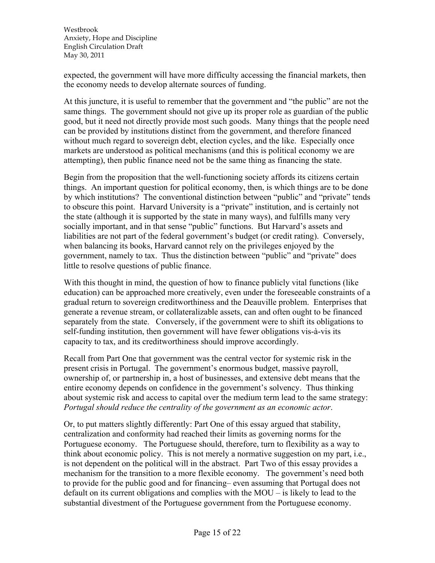expected, the government will have more difficulty accessing the financial markets, then the economy needs to develop alternate sources of funding.

At this juncture, it is useful to remember that the government and "the public" are not the same things. The government should not give up its proper role as guardian of the public good, but it need not directly provide most such goods. Many things that the people need can be provided by institutions distinct from the government, and therefore financed without much regard to sovereign debt, election cycles, and the like. Especially once markets are understood as political mechanisms (and this is political economy we are attempting), then public finance need not be the same thing as financing the state.

Begin from the proposition that the well-functioning society affords its citizens certain things. An important question for political economy, then, is which things are to be done by which institutions? The conventional distinction between "public" and "private" tends to obscure this point. Harvard University is a "private" institution, and is certainly not the state (although it is supported by the state in many ways), and fulfills many very socially important, and in that sense "public" functions. But Harvard's assets and liabilities are not part of the federal government's budget (or credit rating). Conversely, when balancing its books, Harvard cannot rely on the privileges enjoyed by the government, namely to tax. Thus the distinction between "public" and "private" does little to resolve questions of public finance.

With this thought in mind, the question of how to finance publicly vital functions (like education) can be approached more creatively, even under the foreseeable constraints of a gradual return to sovereign creditworthiness and the Deauville problem. Enterprises that generate a revenue stream, or collateralizable assets, can and often ought to be financed separately from the state. Conversely, if the government were to shift its obligations to self-funding institution, then government will have fewer obligations vis-à-vis its capacity to tax, and its creditworthiness should improve accordingly.

Recall from Part One that government was the central vector for systemic risk in the present crisis in Portugal. The government's enormous budget, massive payroll, ownership of, or partnership in, a host of businesses, and extensive debt means that the entire economy depends on confidence in the government's solvency. Thus thinking about systemic risk and access to capital over the medium term lead to the same strategy: *Portugal should reduce the centrality of the government as an economic actor*.

Or, to put matters slightly differently: Part One of this essay argued that stability, centralization and conformity had reached their limits as governing norms for the Portuguese economy. The Portuguese should, therefore, turn to flexibility as a way to think about economic policy. This is not merely a normative suggestion on my part, i.e., is not dependent on the political will in the abstract. Part Two of this essay provides a mechanism for the transition to a more flexible economy. The government's need both to provide for the public good and for financing– even assuming that Portugal does not default on its current obligations and complies with the MOU – is likely to lead to the substantial divestment of the Portuguese government from the Portuguese economy.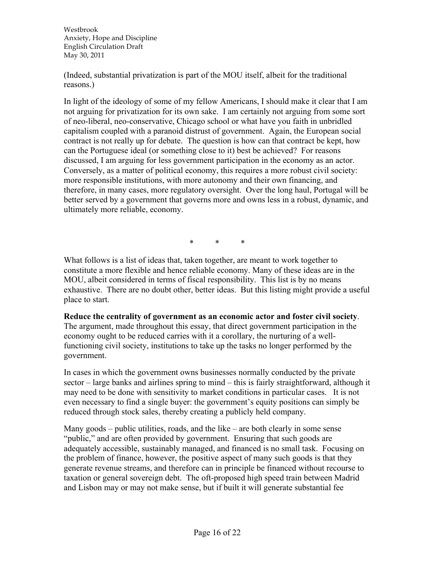(Indeed, substantial privatization is part of the MOU itself, albeit for the traditional reasons.)

In light of the ideology of some of my fellow Americans, I should make it clear that I am not arguing for privatization for its own sake. I am certainly not arguing from some sort of neo-liberal, neo-conservative, Chicago school or what have you faith in unbridled capitalism coupled with a paranoid distrust of government. Again, the European social contract is not really up for debate. The question is how can that contract be kept, how can the Portuguese ideal (or something close to it) best be achieved? For reasons discussed, I am arguing for less government participation in the economy as an actor. Conversely, as a matter of political economy, this requires a more robust civil society: more responsible institutions, with more autonomy and their own financing, and therefore, in many cases, more regulatory oversight. Over the long haul, Portugal will be better served by a government that governs more and owns less in a robust, dynamic, and ultimately more reliable, economy.

\* \* \*

What follows is a list of ideas that, taken together, are meant to work together to constitute a more flexible and hence reliable economy. Many of these ideas are in the MOU, albeit considered in terms of fiscal responsibility. This list is by no means exhaustive. There are no doubt other, better ideas. But this listing might provide a useful place to start.

**Reduce the centrality of government as an economic actor and foster civil society**. The argument, made throughout this essay, that direct government participation in the economy ought to be reduced carries with it a corollary, the nurturing of a wellfunctioning civil society, institutions to take up the tasks no longer performed by the government.

In cases in which the government owns businesses normally conducted by the private sector – large banks and airlines spring to mind – this is fairly straightforward, although it may need to be done with sensitivity to market conditions in particular cases. It is not even necessary to find a single buyer: the government's equity positions can simply be reduced through stock sales, thereby creating a publicly held company.

Many goods – public utilities, roads, and the like – are both clearly in some sense "public," and are often provided by government. Ensuring that such goods are adequately accessible, sustainably managed, and financed is no small task. Focusing on the problem of finance, however, the positive aspect of many such goods is that they generate revenue streams, and therefore can in principle be financed without recourse to taxation or general sovereign debt. The oft-proposed high speed train between Madrid and Lisbon may or may not make sense, but if built it will generate substantial fee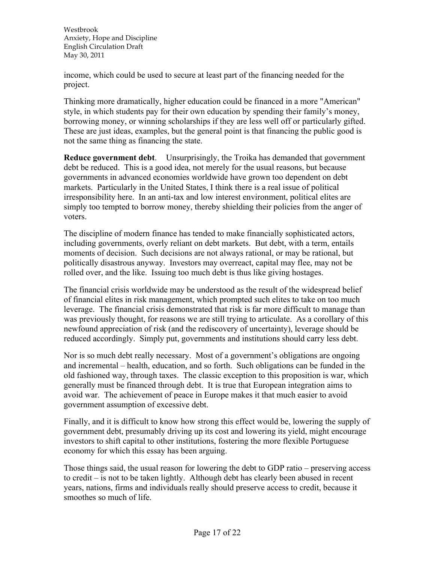income, which could be used to secure at least part of the financing needed for the project.

Thinking more dramatically, higher education could be financed in a more "American" style, in which students pay for their own education by spending their family's money, borrowing money, or winning scholarships if they are less well off or particularly gifted. These are just ideas, examples, but the general point is that financing the public good is not the same thing as financing the state.

**Reduce government debt**. Unsurprisingly, the Troika has demanded that government debt be reduced. This is a good idea, not merely for the usual reasons, but because governments in advanced economies worldwide have grown too dependent on debt markets. Particularly in the United States, I think there is a real issue of political irresponsibility here. In an anti-tax and low interest environment, political elites are simply too tempted to borrow money, thereby shielding their policies from the anger of voters.

The discipline of modern finance has tended to make financially sophisticated actors, including governments, overly reliant on debt markets. But debt, with a term, entails moments of decision. Such decisions are not always rational, or may be rational, but politically disastrous anyway. Investors may overreact, capital may flee, may not be rolled over, and the like. Issuing too much debt is thus like giving hostages.

The financial crisis worldwide may be understood as the result of the widespread belief of financial elites in risk management, which prompted such elites to take on too much leverage. The financial crisis demonstrated that risk is far more difficult to manage than was previously thought, for reasons we are still trying to articulate. As a corollary of this newfound appreciation of risk (and the rediscovery of uncertainty), leverage should be reduced accordingly. Simply put, governments and institutions should carry less debt.

Nor is so much debt really necessary. Most of a government's obligations are ongoing and incremental – health, education, and so forth. Such obligations can be funded in the old fashioned way, through taxes. The classic exception to this proposition is war, which generally must be financed through debt. It is true that European integration aims to avoid war. The achievement of peace in Europe makes it that much easier to avoid government assumption of excessive debt.

Finally, and it is difficult to know how strong this effect would be, lowering the supply of government debt, presumably driving up its cost and lowering its yield, might encourage investors to shift capital to other institutions, fostering the more flexible Portuguese economy for which this essay has been arguing.

Those things said, the usual reason for lowering the debt to GDP ratio – preserving access to credit – is not to be taken lightly. Although debt has clearly been abused in recent years, nations, firms and individuals really should preserve access to credit, because it smoothes so much of life.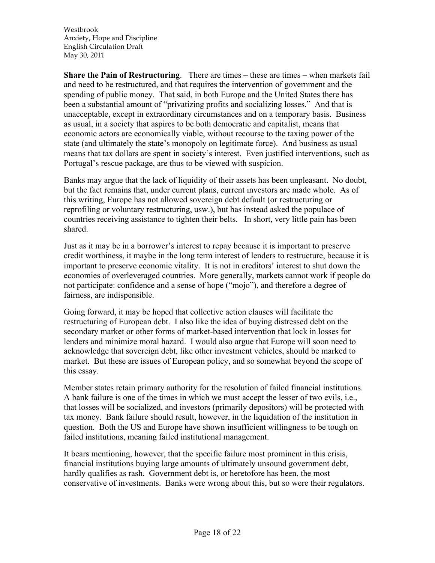**Share the Pain of Restructuring**. There are times – these are times – when markets fail and need to be restructured, and that requires the intervention of government and the spending of public money. That said, in both Europe and the United States there has been a substantial amount of "privatizing profits and socializing losses." And that is unacceptable, except in extraordinary circumstances and on a temporary basis. Business as usual, in a society that aspires to be both democratic and capitalist, means that economic actors are economically viable, without recourse to the taxing power of the state (and ultimately the state's monopoly on legitimate force). And business as usual means that tax dollars are spent in society's interest. Even justified interventions, such as Portugal's rescue package, are thus to be viewed with suspicion.

Banks may argue that the lack of liquidity of their assets has been unpleasant. No doubt, but the fact remains that, under current plans, current investors are made whole. As of this writing, Europe has not allowed sovereign debt default (or restructuring or reprofiling or voluntary restructuring, usw.), but has instead asked the populace of countries receiving assistance to tighten their belts. In short, very little pain has been shared.

Just as it may be in a borrower's interest to repay because it is important to preserve credit worthiness, it maybe in the long term interest of lenders to restructure, because it is important to preserve economic vitality. It is not in creditors' interest to shut down the economies of overleveraged countries. More generally, markets cannot work if people do not participate: confidence and a sense of hope ("mojo"), and therefore a degree of fairness, are indispensible.

Going forward, it may be hoped that collective action clauses will facilitate the restructuring of European debt. I also like the idea of buying distressed debt on the secondary market or other forms of market-based intervention that lock in losses for lenders and minimize moral hazard. I would also argue that Europe will soon need to acknowledge that sovereign debt, like other investment vehicles, should be marked to market. But these are issues of European policy, and so somewhat beyond the scope of this essay.

Member states retain primary authority for the resolution of failed financial institutions. A bank failure is one of the times in which we must accept the lesser of two evils, i.e., that losses will be socialized, and investors (primarily depositors) will be protected with tax money. Bank failure should result, however, in the liquidation of the institution in question. Both the US and Europe have shown insufficient willingness to be tough on failed institutions, meaning failed institutional management.

It bears mentioning, however, that the specific failure most prominent in this crisis, financial institutions buying large amounts of ultimately unsound government debt, hardly qualifies as rash. Government debt is, or heretofore has been, the most conservative of investments. Banks were wrong about this, but so were their regulators.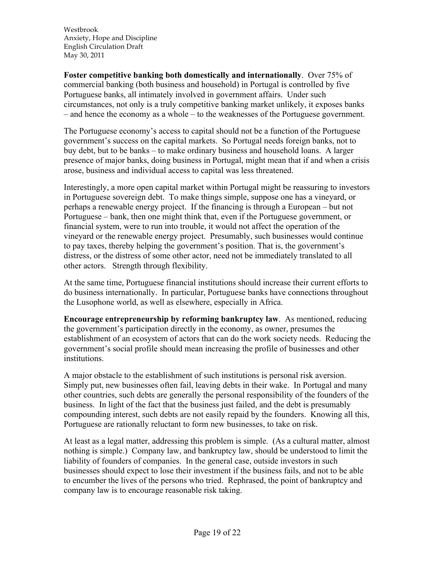**Foster competitive banking both domestically and internationally**. Over 75% of commercial banking (both business and household) in Portugal is controlled by five Portuguese banks, all intimately involved in government affairs. Under such circumstances, not only is a truly competitive banking market unlikely, it exposes banks – and hence the economy as a whole – to the weaknesses of the Portuguese government.

The Portuguese economy's access to capital should not be a function of the Portuguese government's success on the capital markets. So Portugal needs foreign banks, not to buy debt, but to be banks – to make ordinary business and household loans. A larger presence of major banks, doing business in Portugal, might mean that if and when a crisis arose, business and individual access to capital was less threatened.

Interestingly, a more open capital market within Portugal might be reassuring to investors in Portuguese sovereign debt. To make things simple, suppose one has a vineyard, or perhaps a renewable energy project. If the financing is through a European – but not Portuguese – bank, then one might think that, even if the Portuguese government, or financial system, were to run into trouble, it would not affect the operation of the vineyard or the renewable energy project. Presumably, such businesses would continue to pay taxes, thereby helping the government's position. That is, the government's distress, or the distress of some other actor, need not be immediately translated to all other actors. Strength through flexibility.

At the same time, Portuguese financial institutions should increase their current efforts to do business internationally. In particular, Portuguese banks have connections throughout the Lusophone world, as well as elsewhere, especially in Africa.

**Encourage entrepreneurship by reforming bankruptcy law**. As mentioned, reducing the government's participation directly in the economy, as owner, presumes the establishment of an ecosystem of actors that can do the work society needs. Reducing the government's social profile should mean increasing the profile of businesses and other institutions.

A major obstacle to the establishment of such institutions is personal risk aversion. Simply put, new businesses often fail, leaving debts in their wake. In Portugal and many other countries, such debts are generally the personal responsibility of the founders of the business. In light of the fact that the business just failed, and the debt is presumably compounding interest, such debts are not easily repaid by the founders. Knowing all this, Portuguese are rationally reluctant to form new businesses, to take on risk.

At least as a legal matter, addressing this problem is simple. (As a cultural matter, almost nothing is simple.) Company law, and bankruptcy law, should be understood to limit the liability of founders of companies. In the general case, outside investors in such businesses should expect to lose their investment if the business fails, and not to be able to encumber the lives of the persons who tried. Rephrased, the point of bankruptcy and company law is to encourage reasonable risk taking.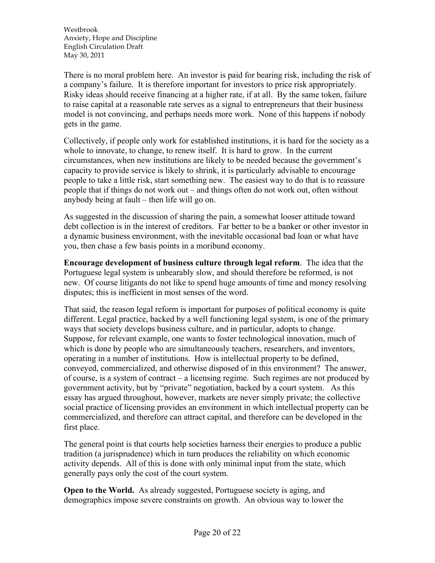There is no moral problem here. An investor is paid for bearing risk, including the risk of a company's failure. It is therefore important for investors to price risk appropriately. Risky ideas should receive financing at a higher rate, if at all. By the same token, failure to raise capital at a reasonable rate serves as a signal to entrepreneurs that their business model is not convincing, and perhaps needs more work. None of this happens if nobody gets in the game.

Collectively, if people only work for established institutions, it is hard for the society as a whole to innovate, to change, to renew itself. It is hard to grow. In the current circumstances, when new institutions are likely to be needed because the government's capacity to provide service is likely to shrink, it is particularly advisable to encourage people to take a little risk, start something new. The easiest way to do that is to reassure people that if things do not work out – and things often do not work out, often without anybody being at fault – then life will go on.

As suggested in the discussion of sharing the pain, a somewhat looser attitude toward debt collection is in the interest of creditors. Far better to be a banker or other investor in a dynamic business environment, with the inevitable occasional bad loan or what have you, then chase a few basis points in a moribund economy.

**Encourage development of business culture through legal reform**. The idea that the Portuguese legal system is unbearably slow, and should therefore be reformed, is not new. Of course litigants do not like to spend huge amounts of time and money resolving disputes; this is inefficient in most senses of the word.

That said, the reason legal reform is important for purposes of political economy is quite different. Legal practice, backed by a well functioning legal system, is one of the primary ways that society develops business culture, and in particular, adopts to change. Suppose, for relevant example, one wants to foster technological innovation, much of which is done by people who are simultaneously teachers, researchers, and inventors, operating in a number of institutions. How is intellectual property to be defined, conveyed, commercialized, and otherwise disposed of in this environment? The answer, of course, is a system of contract – a licensing regime. Such regimes are not produced by government activity, but by "private" negotiation, backed by a court system. As this essay has argued throughout, however, markets are never simply private; the collective social practice of licensing provides an environment in which intellectual property can be commercialized, and therefore can attract capital, and therefore can be developed in the first place.

The general point is that courts help societies harness their energies to produce a public tradition (a jurisprudence) which in turn produces the reliability on which economic activity depends. All of this is done with only minimal input from the state, which generally pays only the cost of the court system.

**Open to the World.** As already suggested, Portuguese society is aging, and demographics impose severe constraints on growth. An obvious way to lower the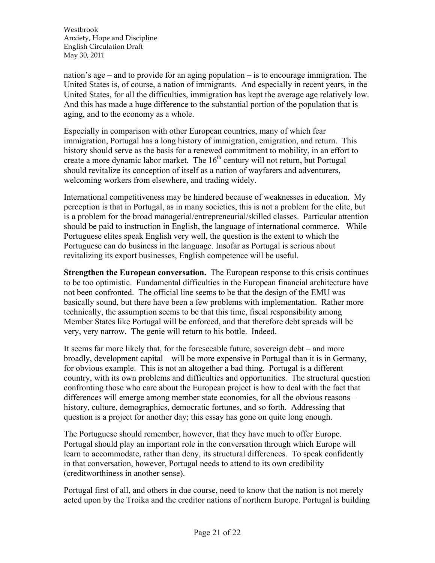nation's age – and to provide for an aging population – is to encourage immigration. The United States is, of course, a nation of immigrants. And especially in recent years, in the United States, for all the difficulties, immigration has kept the average age relatively low. And this has made a huge difference to the substantial portion of the population that is aging, and to the economy as a whole.

Especially in comparison with other European countries, many of which fear immigration, Portugal has a long history of immigration, emigration, and return. This history should serve as the basis for a renewed commitment to mobility, in an effort to create a more dynamic labor market. The  $16<sup>th</sup>$  century will not return, but Portugal should revitalize its conception of itself as a nation of wayfarers and adventurers, welcoming workers from elsewhere, and trading widely.

International competitiveness may be hindered because of weaknesses in education. My perception is that in Portugal, as in many societies, this is not a problem for the elite, but is a problem for the broad managerial/entrepreneurial/skilled classes. Particular attention should be paid to instruction in English, the language of international commerce. While Portuguese elites speak English very well, the question is the extent to which the Portuguese can do business in the language. Insofar as Portugal is serious about revitalizing its export businesses, English competence will be useful.

**Strengthen the European conversation.** The European response to this crisis continues to be too optimistic. Fundamental difficulties in the European financial architecture have not been confronted. The official line seems to be that the design of the EMU was basically sound, but there have been a few problems with implementation. Rather more technically, the assumption seems to be that this time, fiscal responsibility among Member States like Portugal will be enforced, and that therefore debt spreads will be very, very narrow. The genie will return to his bottle. Indeed.

It seems far more likely that, for the foreseeable future, sovereign debt – and more broadly, development capital – will be more expensive in Portugal than it is in Germany, for obvious example. This is not an altogether a bad thing. Portugal is a different country, with its own problems and difficulties and opportunities. The structural question confronting those who care about the European project is how to deal with the fact that differences will emerge among member state economies, for all the obvious reasons – history, culture, demographics, democratic fortunes, and so forth. Addressing that question is a project for another day; this essay has gone on quite long enough.

The Portuguese should remember, however, that they have much to offer Europe. Portugal should play an important role in the conversation through which Europe will learn to accommodate, rather than deny, its structural differences. To speak confidently in that conversation, however, Portugal needs to attend to its own credibility (creditworthiness in another sense).

Portugal first of all, and others in due course, need to know that the nation is not merely acted upon by the Troika and the creditor nations of northern Europe. Portugal is building